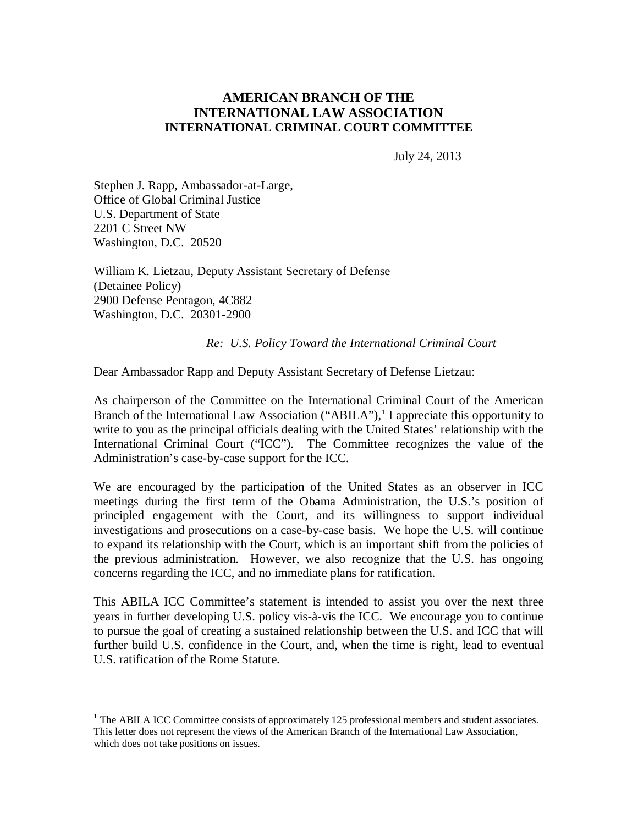# **AMERICAN BRANCH OF THE INTERNATIONAL LAW ASSOCIATION INTERNATIONAL CRIMINAL COURT COMMITTEE**

July 24, 2013

Stephen J. Rapp, Ambassador-at-Large, Office of Global Criminal Justice U.S. Department of State 2201 C Street NW Washington, D.C. 20520

 $\overline{a}$ 

William K. Lietzau, Deputy Assistant Secretary of Defense (Detainee Policy) 2900 Defense Pentagon, 4C882 Washington, D.C. 20301-2900

### *Re: U.S. Policy Toward the International Criminal Court*

Dear Ambassador Rapp and Deputy Assistant Secretary of Defense Lietzau:

As chairperson of the Committee on the International Criminal Court of the American Branch of the International Law Association ("ABILA"),<sup>1</sup> I appreciate this opportunity to write to you as the principal officials dealing with the United States' relationship with the International Criminal Court ("ICC"). The Committee recognizes the value of the Administration's case-by-case support for the ICC.

We are encouraged by the participation of the United States as an observer in ICC meetings during the first term of the Obama Administration, the U.S.'s position of principled engagement with the Court, and its willingness to support individual investigations and prosecutions on a case-by-case basis. We hope the U.S. will continue to expand its relationship with the Court, which is an important shift from the policies of the previous administration. However, we also recognize that the U.S. has ongoing concerns regarding the ICC, and no immediate plans for ratification.

This ABILA ICC Committee's statement is intended to assist you over the next three years in further developing U.S. policy vis-à-vis the ICC. We encourage you to continue to pursue the goal of creating a sustained relationship between the U.S. and ICC that will further build U.S. confidence in the Court, and, when the time is right, lead to eventual U.S. ratification of the Rome Statute.

 $<sup>1</sup>$  The ABILA ICC Committee consists of approximately 125 professional members and student associates.</sup> This letter does not represent the views of the American Branch of the International Law Association, which does not take positions on issues.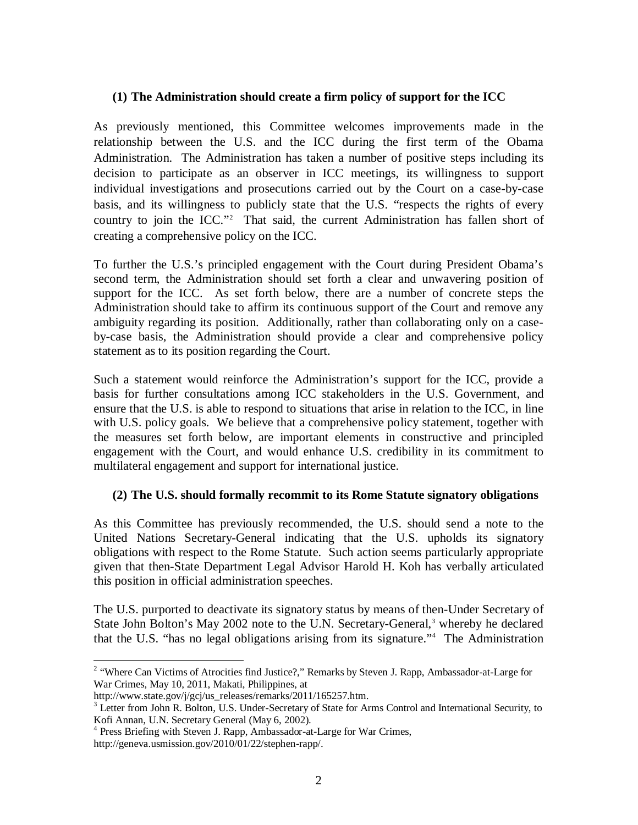## **(1) The Administration should create a firm policy of support for the ICC**

As previously mentioned, this Committee welcomes improvements made in the relationship between the U.S. and the ICC during the first term of the Obama Administration. The Administration has taken a number of positive steps including its decision to participate as an observer in ICC meetings, its willingness to support individual investigations and prosecutions carried out by the Court on a case-by-case basis, and its willingness to publicly state that the U.S. "respects the rights of every country to join the ICC."<sup>2</sup> That said, the current Administration has fallen short of creating a comprehensive policy on the ICC.

To further the U.S.'s principled engagement with the Court during President Obama's second term, the Administration should set forth a clear and unwavering position of support for the ICC. As set forth below, there are a number of concrete steps the Administration should take to affirm its continuous support of the Court and remove any ambiguity regarding its position. Additionally, rather than collaborating only on a caseby-case basis, the Administration should provide a clear and comprehensive policy statement as to its position regarding the Court.

Such a statement would reinforce the Administration's support for the ICC, provide a basis for further consultations among ICC stakeholders in the U.S. Government, and ensure that the U.S. is able to respond to situations that arise in relation to the ICC, in line with U.S. policy goals. We believe that a comprehensive policy statement, together with the measures set forth below, are important elements in constructive and principled engagement with the Court, and would enhance U.S. credibility in its commitment to multilateral engagement and support for international justice.

# **(2) The U.S. should formally recommit to its Rome Statute signatory obligations**

As this Committee has previously recommended, the U.S. should send a note to the United Nations Secretary-General indicating that the U.S. upholds its signatory obligations with respect to the Rome Statute. Such action seems particularly appropriate given that then-State Department Legal Advisor Harold H. Koh has verbally articulated this position in official administration speeches.

The U.S. purported to deactivate its signatory status by means of then-Under Secretary of State John Bolton's May 2002 note to the U.N. Secretary-General,<sup>3</sup> whereby he declared that the U.S. "has no legal obligations arising from its signature."<sup>4</sup> The Administration

 2 "Where Can Victims of Atrocities find Justice?," Remarks by Steven J. Rapp, Ambassador-at-Large for War Crimes, May 10, 2011, Makati, Philippines, at

http://www.state.gov/j/gcj/us\_releases/remarks/2011/165257.htm.

<sup>&</sup>lt;sup>3</sup> Letter from John R. Bolton, U.S. Under-Secretary of State for Arms Control and International Security, to Kofi Annan, U.N. Secretary General (May 6, 2002).

<sup>&</sup>lt;sup>4</sup> Press Briefing with Steven J. Rapp, Ambassador-at-Large for War Crimes,

http://geneva.usmission.gov/2010/01/22/stephen-rapp/.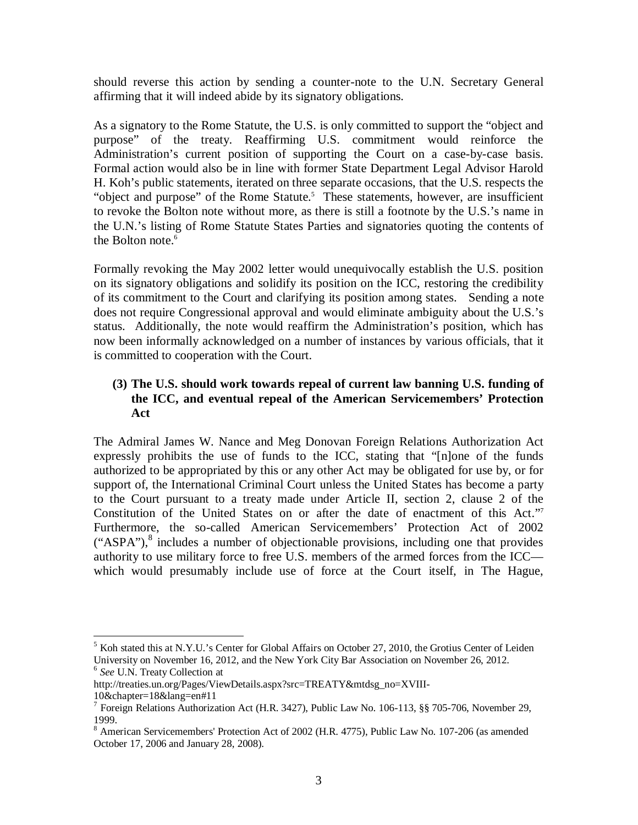should reverse this action by sending a counter-note to the U.N. Secretary General affirming that it will indeed abide by its signatory obligations.

As a signatory to the Rome Statute, the U.S. is only committed to support the "object and purpose" of the treaty. Reaffirming U.S. commitment would reinforce the Administration's current position of supporting the Court on a case-by-case basis. Formal action would also be in line with former State Department Legal Advisor Harold H. Koh's public statements, iterated on three separate occasions, that the U.S. respects the "object and purpose" of the Rome Statute.<sup>5</sup> These statements, however, are insufficient to revoke the Bolton note without more, as there is still a footnote by the U.S.'s name in the U.N.'s listing of Rome Statute States Parties and signatories quoting the contents of the Bolton note.<sup>6</sup>

Formally revoking the May 2002 letter would unequivocally establish the U.S. position on its signatory obligations and solidify its position on the ICC, restoring the credibility of its commitment to the Court and clarifying its position among states. Sending a note does not require Congressional approval and would eliminate ambiguity about the U.S.'s status. Additionally, the note would reaffirm the Administration's position, which has now been informally acknowledged on a number of instances by various officials, that it is committed to cooperation with the Court.

# **(3) The U.S. should work towards repeal of current law banning U.S. funding of the ICC, and eventual repeal of the American Servicemembers' Protection Act**

The Admiral James W. Nance and Meg Donovan Foreign Relations Authorization Act expressly prohibits the use of funds to the ICC, stating that "[n]one of the funds authorized to be appropriated by this or any other Act may be obligated for use by, or for support of, the International Criminal Court unless the United States has become a party to the Court pursuant to a treaty made under Article II, section 2, clause 2 of the Constitution of the United States on or after the date of enactment of this Act."<sup>7</sup> Furthermore, the so-called American Servicemembers' Protection Act of 2002  $("ASPA")$ ,<sup>8</sup> includes a number of objectionable provisions, including one that provides authority to use military force to free U.S. members of the armed forces from the ICC which would presumably include use of force at the Court itself, in The Hague,

 $\overline{a}$ 

 $<sup>5</sup>$  Koh stated this at N.Y.U.'s Center for Global Affairs on October 27, 2010, the Grotius Center of Leiden</sup> University on November 16, 2012, and the New York City Bar Association on November 26, 2012. 6 *See* U.N. Treaty Collection at

http://treaties.un.org/Pages/ViewDetails.aspx?src=TREATY&mtdsg\_no=XVIII-

<sup>10&</sup>amp;chapter=18&lang=en#11

<sup>&</sup>lt;sup>7</sup> Foreign Relations Authorization Act (H.R. 3427), Public Law No. 106-113, §§ 705-706, November 29, 1999.

<sup>8</sup> American Servicemembers' Protection Act of 2002 (H.R. 4775), Public Law No. 107-206 (as amended October 17, 2006 and January 28, 2008).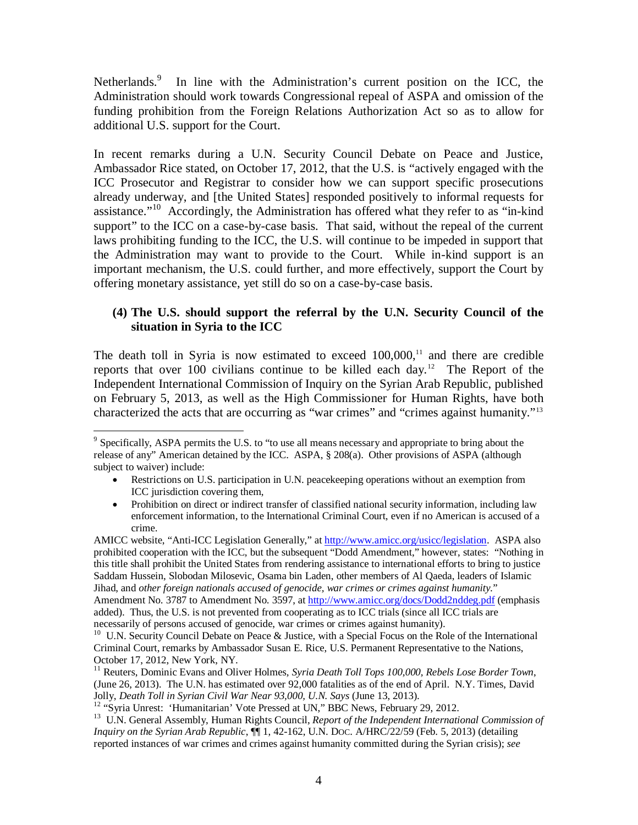Netherlands.<sup>9</sup> In line with the Administration's current position on the ICC, the Administration should work towards Congressional repeal of ASPA and omission of the funding prohibition from the Foreign Relations Authorization Act so as to allow for additional U.S. support for the Court.

In recent remarks during a U.N. Security Council Debate on Peace and Justice, Ambassador Rice stated, on October 17, 2012, that the U.S. is "actively engaged with the ICC Prosecutor and Registrar to consider how we can support specific prosecutions already underway, and [the United States] responded positively to informal requests for assistance."<sup>10</sup> Accordingly, the Administration has offered what they refer to as "in-kind support" to the ICC on a case-by-case basis. That said, without the repeal of the current laws prohibiting funding to the ICC, the U.S. will continue to be impeded in support that the Administration may want to provide to the Court. While in-kind support is an important mechanism, the U.S. could further, and more effectively, support the Court by offering monetary assistance, yet still do so on a case-by-case basis.

## **(4) The U.S. should support the referral by the U.N. Security Council of the situation in Syria to the ICC**

The death toll in Syria is now estimated to exceed  $100,000$ ,<sup> $11$ </sup> and there are credible reports that over 100 civilians continue to be killed each day.<sup>12</sup> The Report of the Independent International Commission of Inquiry on the Syrian Arab Republic, published on February 5, 2013, as well as the High Commissioner for Human Rights, have both characterized the acts that are occurring as "war crimes" and "crimes against humanity."<sup>13</sup>

AMICC website, "Anti-ICC Legislation Generally," at http://www.amicc.org/usicc/legislation. ASPA also prohibited cooperation with the ICC, but the subsequent "Dodd Amendment," however, states: "Nothing in this title shall prohibit the United States from rendering assistance to international efforts to bring to justice Saddam Hussein, Slobodan Milosevic, Osama bin Laden, other members of Al Qaeda, leaders of Islamic Jihad, and *other foreign nationals accused of genocide, war crimes or crimes against humanity.*" Amendment No. 3787 to Amendment No. 3597, at http://www.amicc.org/docs/Dodd2nddeg.pdf (emphasis added). Thus, the U.S. is not prevented from cooperating as to ICC trials (since all ICC trials are necessarily of persons accused of genocide, war crimes or crimes against humanity).

<sup>&</sup>lt;sup>9</sup> Specifically, ASPA permits the U.S. to "to use all means necessary and appropriate to bring about the release of any" American detained by the ICC. ASPA, § 208(a). Other provisions of ASPA (although subject to waiver) include:

Restrictions on U.S. participation in U.N. peacekeeping operations without an exemption from ICC jurisdiction covering them,

<sup>•</sup> Prohibition on direct or indirect transfer of classified national security information, including law enforcement information, to the International Criminal Court, even if no American is accused of a crime.

<sup>&</sup>lt;sup>10</sup> U.N. Security Council Debate on Peace & Justice, with a Special Focus on the Role of the International Criminal Court, remarks by Ambassador Susan E. Rice, U.S. Permanent Representative to the Nations, October 17, 2012, New York, NY.

<sup>11</sup> Reuters, Dominic Evans and Oliver Holmes*, Syria Death Toll Tops 100,000, Rebels Lose Border Town*, (June 26, 2013). The U.N. has estimated over 92,000 fatalities as of the end of April. N.Y. Times, David Jolly, *Death Toll in Syrian Civil War Near 93,000, U.N. Says* (June 13, 2013).

<sup>&</sup>lt;sup>12</sup> "Syria Unrest: 'Humanitarian' Vote Pressed at UN," BBC News, February 29, 2012.

<sup>&</sup>lt;sup>13</sup> U.N. General Assembly, Human Rights Council, *Report of the Independent International Commission of Inquiry on the Syrian Arab Republic*, ¶¶ 1, 42-162, U.N. DOC. A/HRC/22/59 (Feb. 5, 2013) (detailing reported instances of war crimes and crimes against humanity committed during the Syrian crisis); *see*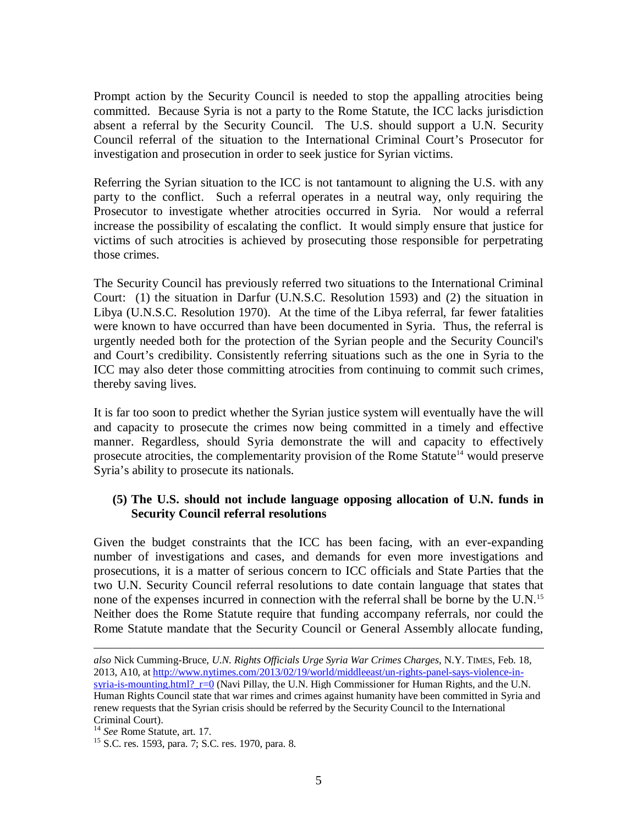Prompt action by the Security Council is needed to stop the appalling atrocities being committed. Because Syria is not a party to the Rome Statute, the ICC lacks jurisdiction absent a referral by the Security Council. The U.S. should support a U.N. Security Council referral of the situation to the International Criminal Court's Prosecutor for investigation and prosecution in order to seek justice for Syrian victims.

Referring the Syrian situation to the ICC is not tantamount to aligning the U.S. with any party to the conflict. Such a referral operates in a neutral way, only requiring the Prosecutor to investigate whether atrocities occurred in Syria. Nor would a referral increase the possibility of escalating the conflict. It would simply ensure that justice for victims of such atrocities is achieved by prosecuting those responsible for perpetrating those crimes.

The Security Council has previously referred two situations to the International Criminal Court: (1) the situation in Darfur (U.N.S.C. Resolution 1593) and (2) the situation in Libya (U.N.S.C. Resolution 1970). At the time of the Libya referral, far fewer fatalities were known to have occurred than have been documented in Syria. Thus, the referral is urgently needed both for the protection of the Syrian people and the Security Council's and Court's credibility. Consistently referring situations such as the one in Syria to the ICC may also deter those committing atrocities from continuing to commit such crimes, thereby saving lives.

It is far too soon to predict whether the Syrian justice system will eventually have the will and capacity to prosecute the crimes now being committed in a timely and effective manner. Regardless, should Syria demonstrate the will and capacity to effectively prosecute atrocities, the complementarity provision of the Rome Statute<sup>14</sup> would preserve Syria's ability to prosecute its nationals.

# **(5) The U.S. should not include language opposing allocation of U.N. funds in Security Council referral resolutions**

Given the budget constraints that the ICC has been facing, with an ever-expanding number of investigations and cases, and demands for even more investigations and prosecutions, it is a matter of serious concern to ICC officials and State Parties that the two U.N. Security Council referral resolutions to date contain language that states that none of the expenses incurred in connection with the referral shall be borne by the U.N.<sup>15</sup> Neither does the Rome Statute require that funding accompany referrals, nor could the Rome Statute mandate that the Security Council or General Assembly allocate funding,

 $\overline{a}$ *also* Nick Cumming-Bruce, *U.N. Rights Officials Urge Syria War Crimes Charges*, N.Y. TIMES, Feb. 18, 2013, A10, at http://www.nytimes.com/2013/02/19/world/middleeast/un-rights-panel-says-violence-insyria-is-mounting.html?  $r=0$  (Navi Pillay, the U.N. High Commissioner for Human Rights, and the U.N. Human Rights Council state that war rimes and crimes against humanity have been committed in Syria and renew requests that the Syrian crisis should be referred by the Security Council to the International Criminal Court).

<sup>14</sup> *See* Rome Statute, art. 17.

<sup>15</sup> S.C. res. 1593, para. 7; S.C. res. 1970, para. 8.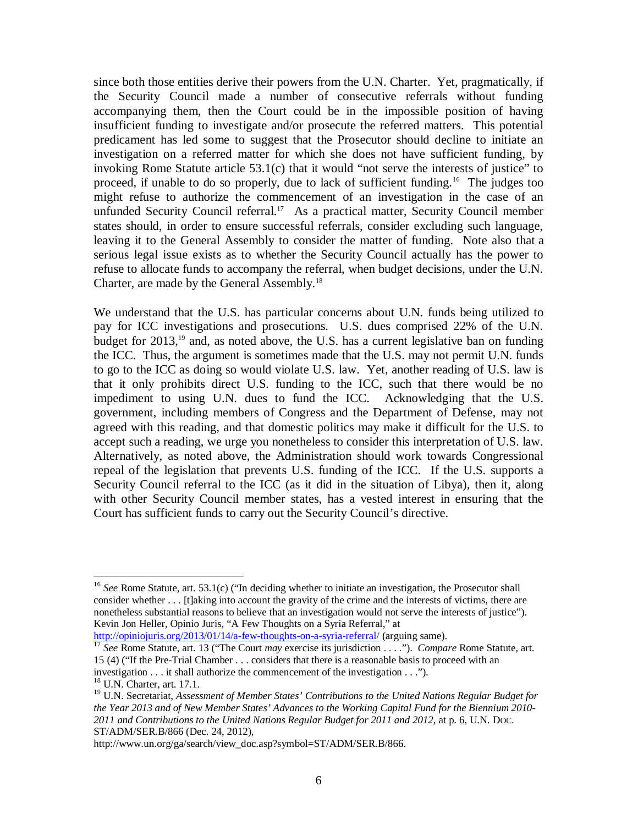since both those entities derive their powers from the U.N. Charter. Yet, pragmatically, if the Security Council made a number of consecutive referrals without funding accompanying them, then the Court could be in the impossible position of having insufficient funding to investigate and/or prosecute the referred matters. This potential predicament has led some to suggest that the Prosecutor should decline to initiate an investigation on a referred matter for which she does not have sufficient funding, by invoking Rome Statute article 53.1(c) that it would "not serve the interests of justice" to proceed, if unable to do so properly, due to lack of sufficient funding.<sup>16</sup> The judges too might refuse to authorize the commencement of an investigation in the case of an unfunded Security Council referral.<sup>17</sup> As a practical matter, Security Council member states should, in order to ensure successful referrals, consider excluding such language, leaving it to the General Assembly to consider the matter of funding. Note also that a serious legal issue exists as to whether the Security Council actually has the power to refuse to allocate funds to accompany the referral, when budget decisions, under the U.N. Charter, are made by the General Assembly.<sup>18</sup>

We understand that the U.S. has particular concerns about U.N. funds being utilized to pay for ICC investigations and prosecutions. U.S. dues comprised 22% of the U.N. budget for  $2013$ ,<sup>19</sup> and, as noted above, the U.S. has a current legislative ban on funding the ICC. Thus, the argument is sometimes made that the U.S. may not permit U.N. funds to go to the ICC as doing so would violate U.S. law. Yet, another reading of U.S. law is that it only prohibits direct U.S. funding to the ICC, such that there would be no impediment to using U.N. dues to fund the ICC. Acknowledging that the U.S. government, including members of Congress and the Department of Defense, may not agreed with this reading, and that domestic politics may make it difficult for the U.S. to accept such a reading, we urge you nonetheless to consider this interpretation of U.S. law. Alternatively, as noted above, the Administration should work towards Congressional repeal of the legislation that prevents U.S. funding of the ICC. If the U.S. supports a Security Council referral to the ICC (as it did in the situation of Libya), then it, along with other Security Council member states, has a vested interest in ensuring that the Court has sufficient funds to carry out the Security Council's directive.

http://opiniojuris.org/2013/01/14/a-few-thoughts-on-a-syria-referral/ (arguing same).

 $\overline{a}$ 

<sup>&</sup>lt;sup>16</sup> See Rome Statute, art. 53.1(c) ("In deciding whether to initiate an investigation, the Prosecutor shall consider whether . . . [t]aking into account the gravity of the crime and the interests of victims, there are nonetheless substantial reasons to believe that an investigation would not serve the interests of justice"). Kevin Jon Heller, Opinio Juris, "A Few Thoughts on a Syria Referral," at

<sup>17</sup> *See* Rome Statute, art. 13 ("The Court *may* exercise its jurisdiction . . . ."). *Compare* Rome Statute, art. 15 (4) ("If the Pre-Trial Chamber . . . considers that there is a reasonable basis to proceed with an investigation . . . it shall authorize the commencement of the investigation . . ."). <sup>18</sup> U.N. Charter, art. 17.1.

<sup>19</sup> U.N. Secretariat, *Assessment of Member States' Contributions to the United Nations Regular Budget for the Year 2013 and of New Member States' Advances to the Working Capital Fund for the Biennium 2010-* 2011 and Contributions to the United Nations Regular Budget for 2011 and 2012, at p. 6, U.N. Doc. ST/ADM/SER.B/866 (Dec. 24, 2012),

http://www.un.org/ga/search/view\_doc.asp?symbol=ST/ADM/SER.B/866.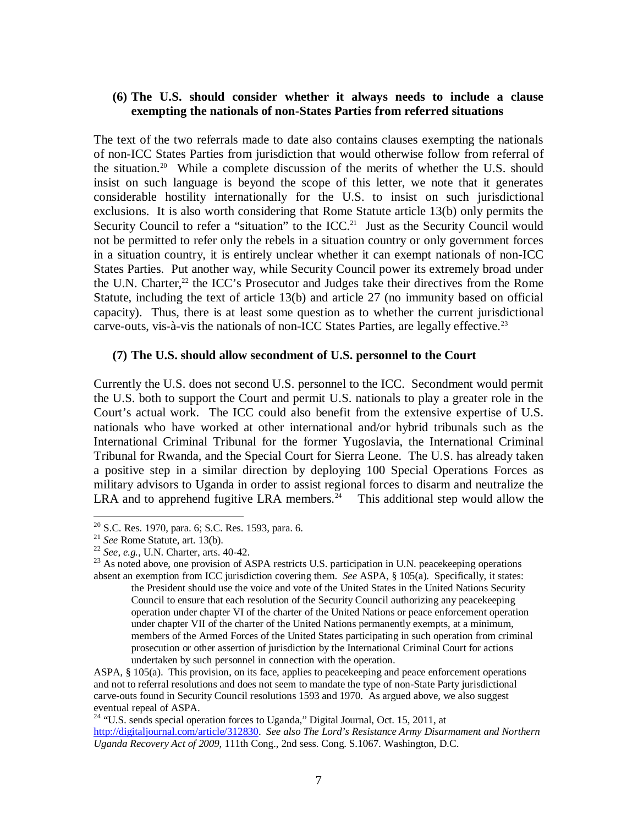## **(6) The U.S. should consider whether it always needs to include a clause exempting the nationals of non-States Parties from referred situations**

The text of the two referrals made to date also contains clauses exempting the nationals of non-ICC States Parties from jurisdiction that would otherwise follow from referral of the situation.<sup>20</sup> While a complete discussion of the merits of whether the U.S. should insist on such language is beyond the scope of this letter, we note that it generates considerable hostility internationally for the U.S. to insist on such jurisdictional exclusions. It is also worth considering that Rome Statute article 13(b) only permits the Security Council to refer a "situation" to the ICC.<sup>21</sup> Just as the Security Council would not be permitted to refer only the rebels in a situation country or only government forces in a situation country, it is entirely unclear whether it can exempt nationals of non-ICC States Parties. Put another way, while Security Council power its extremely broad under the U.N. Charter, $^{22}$  the ICC's Prosecutor and Judges take their directives from the Rome Statute, including the text of article 13(b) and article 27 (no immunity based on official capacity). Thus, there is at least some question as to whether the current jurisdictional carve-outs, vis-à-vis the nationals of non-ICC States Parties, are legally effective.<sup>23</sup>

### **(7) The U.S. should allow secondment of U.S. personnel to the Court**

Currently the U.S. does not second U.S. personnel to the ICC. Secondment would permit the U.S. both to support the Court and permit U.S. nationals to play a greater role in the Court's actual work. The ICC could also benefit from the extensive expertise of U.S. nationals who have worked at other international and/or hybrid tribunals such as the International Criminal Tribunal for the former Yugoslavia, the International Criminal Tribunal for Rwanda, and the Special Court for Sierra Leone. The U.S. has already taken a positive step in a similar direction by deploying 100 Special Operations Forces as military advisors to Uganda in order to assist regional forces to disarm and neutralize the LRA and to apprehend fugitive LRA members.<sup>24</sup> This additional step would allow the

 $\overline{a}$ 

ASPA, § 105(a). This provision, on its face, applies to peacekeeping and peace enforcement operations and not to referral resolutions and does not seem to mandate the type of non-State Party jurisdictional carve-outs found in Security Council resolutions 1593 and 1970. As argued above, we also suggest eventual repeal of ASPA.

<sup>&</sup>lt;sup>20</sup> S.C. Res. 1970, para. 6; S.C. Res. 1593, para. 6.

<sup>21</sup> *See* Rome Statute, art. 13(b).

<sup>22</sup> *See, e.g.,* U.N. Charter, arts. 40-42.

<sup>&</sup>lt;sup>23</sup> As noted above, one provision of ASPA restricts U.S. participation in U.N. peacekeeping operations absent an exemption from ICC jurisdiction covering them. *See* ASPA, § 105(a). Specifically, it states: the President should use the voice and vote of the United States in the United Nations Security Council to ensure that each resolution of the Security Council authorizing any peacekeeping operation under chapter VI of the charter of the United Nations or peace enforcement operation under chapter VII of the charter of the United Nations permanently exempts, at a minimum, members of the Armed Forces of the United States participating in such operation from criminal prosecution or other assertion of jurisdiction by the International Criminal Court for actions undertaken by such personnel in connection with the operation.

<sup>&</sup>lt;sup>24</sup> "U.S. sends special operation forces to Uganda," Digital Journal, Oct. 15, 2011, at http://digitaljournal.com/article/312830. *See also The Lord's Resistance Army Disarmament and Northern Uganda Recovery Act of 2009*, 111th Cong., 2nd sess. Cong. S.1067. Washington, D.C.